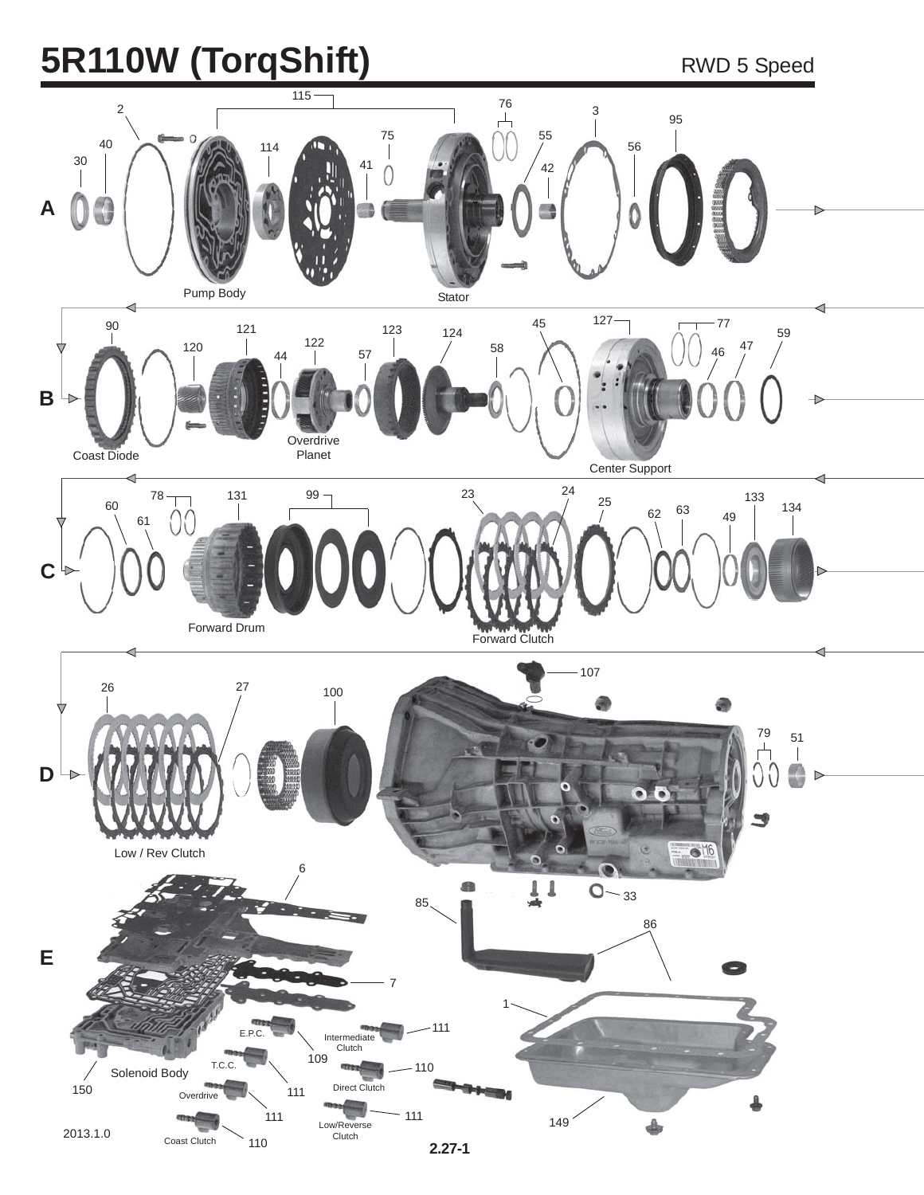# **5R110W (TorqShift)** RWD 5 Speed

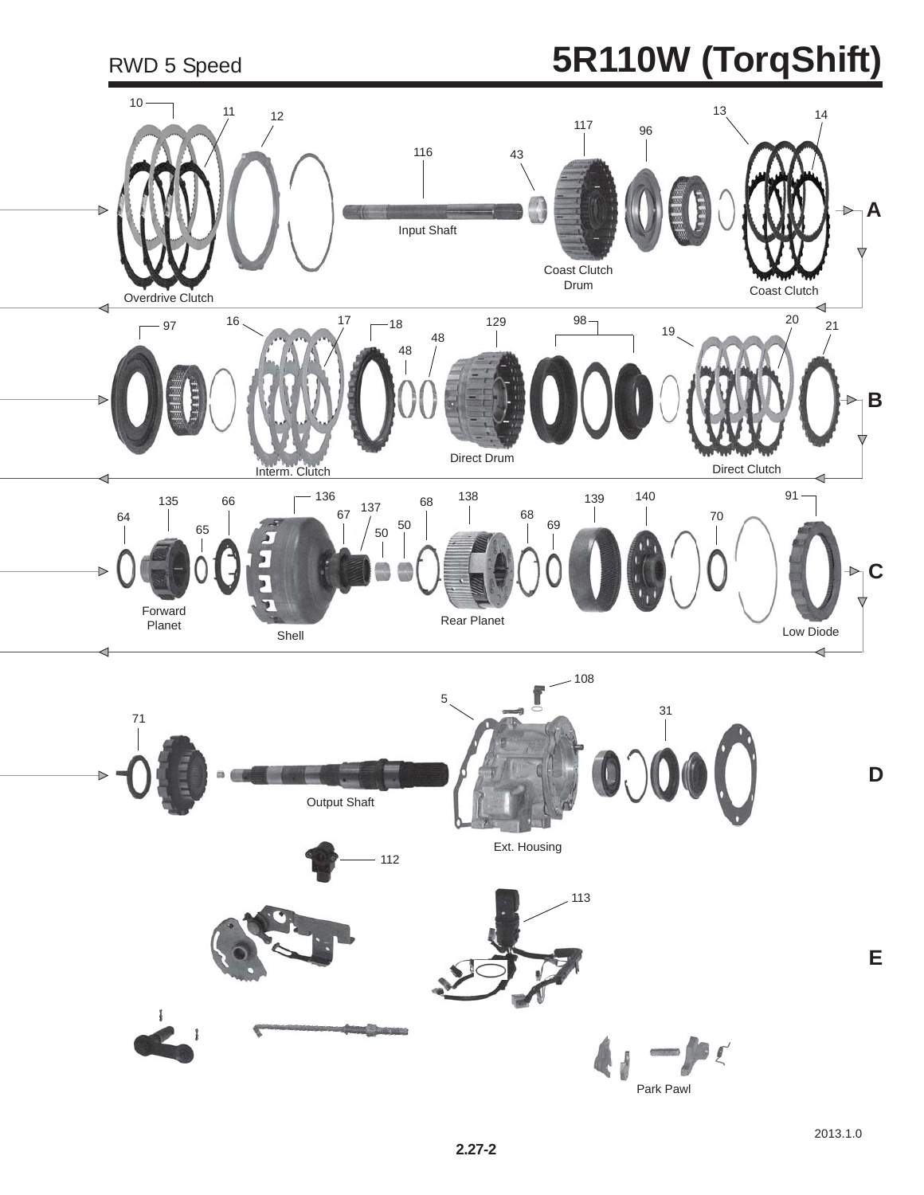# RWD 5 Speed **5R110W (TorqShift)**

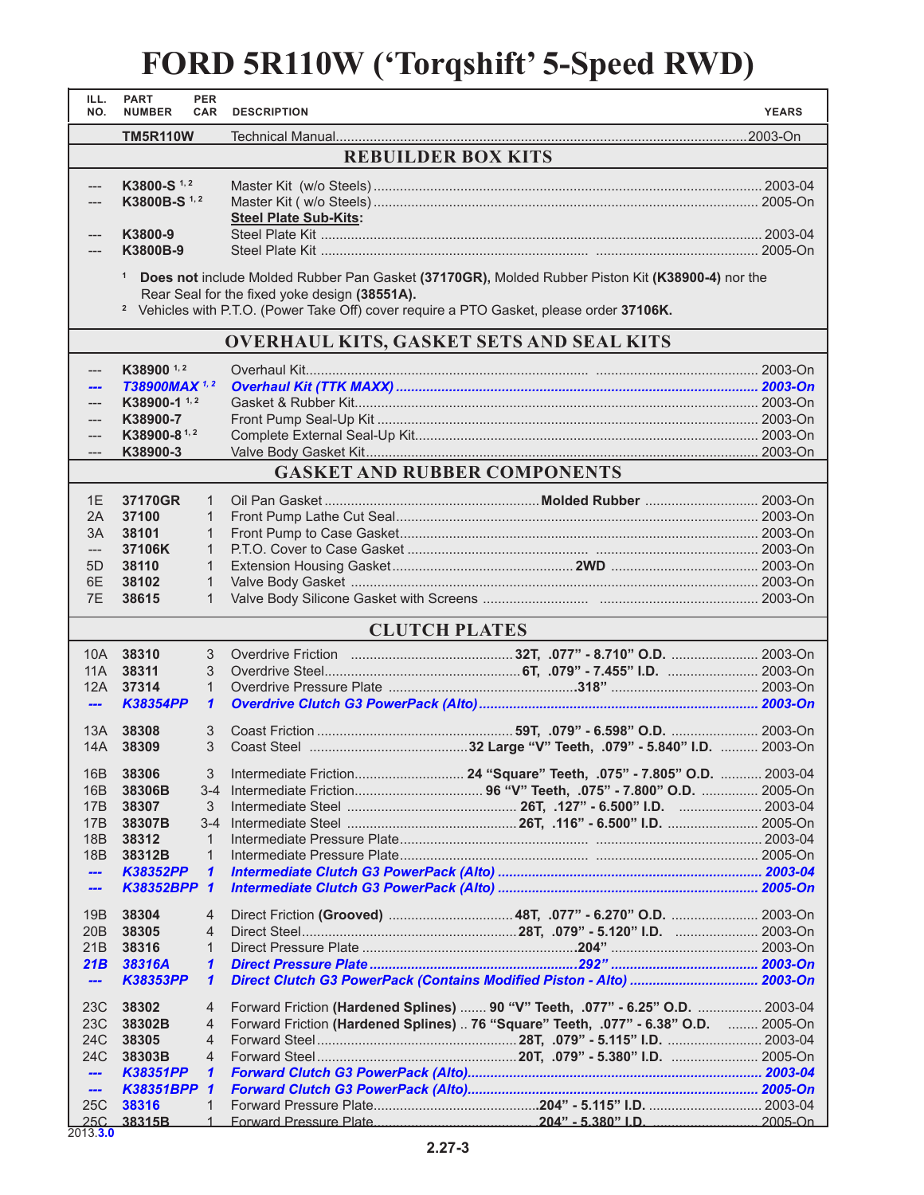#### **FORD 5R110W ('Torqshift' 5-Speed RWD)**

| ILL.<br>NO.                     | <b>PART</b><br><b>NUMBER</b> | <b>PER</b><br><b>CAR</b>     | <b>DESCRIPTION</b>                                                                                  |                                                                                                  | <b>YEARS</b> |
|---------------------------------|------------------------------|------------------------------|-----------------------------------------------------------------------------------------------------|--------------------------------------------------------------------------------------------------|--------------|
|                                 | <b>TM5R110W</b>              |                              |                                                                                                     |                                                                                                  |              |
|                                 |                              |                              | <b>REBUILDER BOX KITS</b>                                                                           |                                                                                                  |              |
|                                 |                              |                              |                                                                                                     |                                                                                                  |              |
| ---                             | K3800-S <sup>1,2</sup>       |                              |                                                                                                     |                                                                                                  |              |
|                                 | K3800B-S <sup>1,2</sup>      |                              |                                                                                                     |                                                                                                  |              |
|                                 |                              |                              | <b>Steel Plate Sub-Kits:</b>                                                                        |                                                                                                  |              |
| ---                             | K3800-9<br>K3800B-9          |                              |                                                                                                     |                                                                                                  |              |
|                                 |                              |                              |                                                                                                     |                                                                                                  |              |
|                                 | $\mathbf{1}$                 |                              |                                                                                                     | Does not include Molded Rubber Pan Gasket (37170GR), Molded Rubber Piston Kit (K38900-4) nor the |              |
|                                 |                              |                              | Rear Seal for the fixed yoke design (38551A).                                                       |                                                                                                  |              |
|                                 |                              |                              | <sup>2</sup> Vehicles with P.T.O. (Power Take Off) cover require a PTO Gasket, please order 37106K. |                                                                                                  |              |
|                                 |                              |                              | <b>OVERHAUL KITS, GASKET SETS AND SEAL KITS</b>                                                     |                                                                                                  |              |
|                                 |                              |                              |                                                                                                     |                                                                                                  |              |
| ---                             | K38900 <sup>1,2</sup>        |                              |                                                                                                     |                                                                                                  |              |
|                                 | T38900MAX <sup>1,2</sup>     |                              |                                                                                                     |                                                                                                  |              |
|                                 | K38900-1 <sup>1,2</sup>      |                              |                                                                                                     |                                                                                                  |              |
| ---                             | K38900-7<br>K38900-81,2      |                              |                                                                                                     |                                                                                                  |              |
| ---                             | K38900-3                     |                              |                                                                                                     |                                                                                                  |              |
|                                 |                              |                              | <b>GASKET AND RUBBER COMPONENTS</b>                                                                 |                                                                                                  |              |
|                                 |                              |                              |                                                                                                     |                                                                                                  |              |
| 1E                              | 37170GR                      | $\mathbf{1}$                 |                                                                                                     |                                                                                                  |              |
| 2A                              | 37100                        | 1                            |                                                                                                     |                                                                                                  |              |
| 3A                              | 38101                        | 1                            |                                                                                                     |                                                                                                  |              |
| $---$                           | 37106K                       | $\mathbf{1}$                 |                                                                                                     |                                                                                                  |              |
| 5D<br>6E                        | 38110<br>38102               | $\mathbf{1}$<br>$\mathbf{1}$ |                                                                                                     |                                                                                                  |              |
| 7E                              | 38615                        | 1                            |                                                                                                     |                                                                                                  |              |
|                                 |                              |                              |                                                                                                     |                                                                                                  |              |
|                                 |                              |                              | <b>CLUTCH PLATES</b>                                                                                |                                                                                                  |              |
| 10A                             | 38310                        | 3                            |                                                                                                     |                                                                                                  |              |
| 11A                             | 38311                        | 3                            |                                                                                                     |                                                                                                  |              |
|                                 | 12A 37314                    | $\mathbf{1}$                 |                                                                                                     |                                                                                                  |              |
| $\frac{1}{2}$                   | <b>K38354PP</b>              | 1                            |                                                                                                     |                                                                                                  |              |
| 13A                             | 38308                        | 3                            |                                                                                                     |                                                                                                  |              |
| 14A                             | 38309                        | 3                            |                                                                                                     |                                                                                                  |              |
| 16B                             | 38306                        | 3                            |                                                                                                     |                                                                                                  |              |
| 16B                             | 38306B                       | $3 - 4$                      |                                                                                                     |                                                                                                  |              |
| 17B                             | 38307                        | 3                            |                                                                                                     |                                                                                                  |              |
| 17B                             | 38307B                       | $3 - 4$                      |                                                                                                     |                                                                                                  |              |
| 18B                             | 38312                        | $\mathbf{1}$                 |                                                                                                     |                                                                                                  |              |
| 18B                             | 38312B                       | $\mathbf{1}$                 |                                                                                                     |                                                                                                  |              |
| ---                             | <b>K38352PP</b>              | $\mathbf{1}$                 |                                                                                                     |                                                                                                  |              |
| ---                             | K38352BPP 1                  |                              |                                                                                                     |                                                                                                  |              |
| 19B                             | 38304                        | 4                            |                                                                                                     |                                                                                                  |              |
| 20 <sub>B</sub>                 | 38305                        | 4                            |                                                                                                     |                                                                                                  |              |
| 21B                             | 38316                        | 1                            |                                                                                                     |                                                                                                  |              |
| 21B                             | 38316A                       | 1                            |                                                                                                     |                                                                                                  |              |
| $\overline{\phantom{a}}$        | <b>K38353PP</b>              | 1                            |                                                                                                     | Direct Clutch G3 PowerPack (Contains Modified Piston - Alto)  2003-On                            |              |
| 23C                             | 38302                        | 4                            |                                                                                                     | Forward Friction (Hardened Splines)  90 "V" Teeth, .077" - 6.25" O.D.  2003-04                   |              |
| 23C                             | 38302B                       | 4                            |                                                                                                     | Forward Friction (Hardened Splines)  76 "Square" Teeth, .077" - 6.38" O.D.  2005-On              |              |
| 24C                             | 38305                        | $\overline{4}$               |                                                                                                     |                                                                                                  |              |
| 24C                             | 38303B                       | $\overline{4}$               |                                                                                                     |                                                                                                  |              |
| ---                             | K38351PP<br>K38351BPP 1      | 1                            |                                                                                                     |                                                                                                  |              |
| $\overline{\phantom{a}}$<br>25C | 38316                        | 1                            |                                                                                                     |                                                                                                  |              |
| 25C                             | 38315B                       | $\mathbf{1}$                 | Forward Pressure Plate                                                                              | $204" - 5.380"$ I.D.                                                                             | 2005-On      |

2013.**3.0**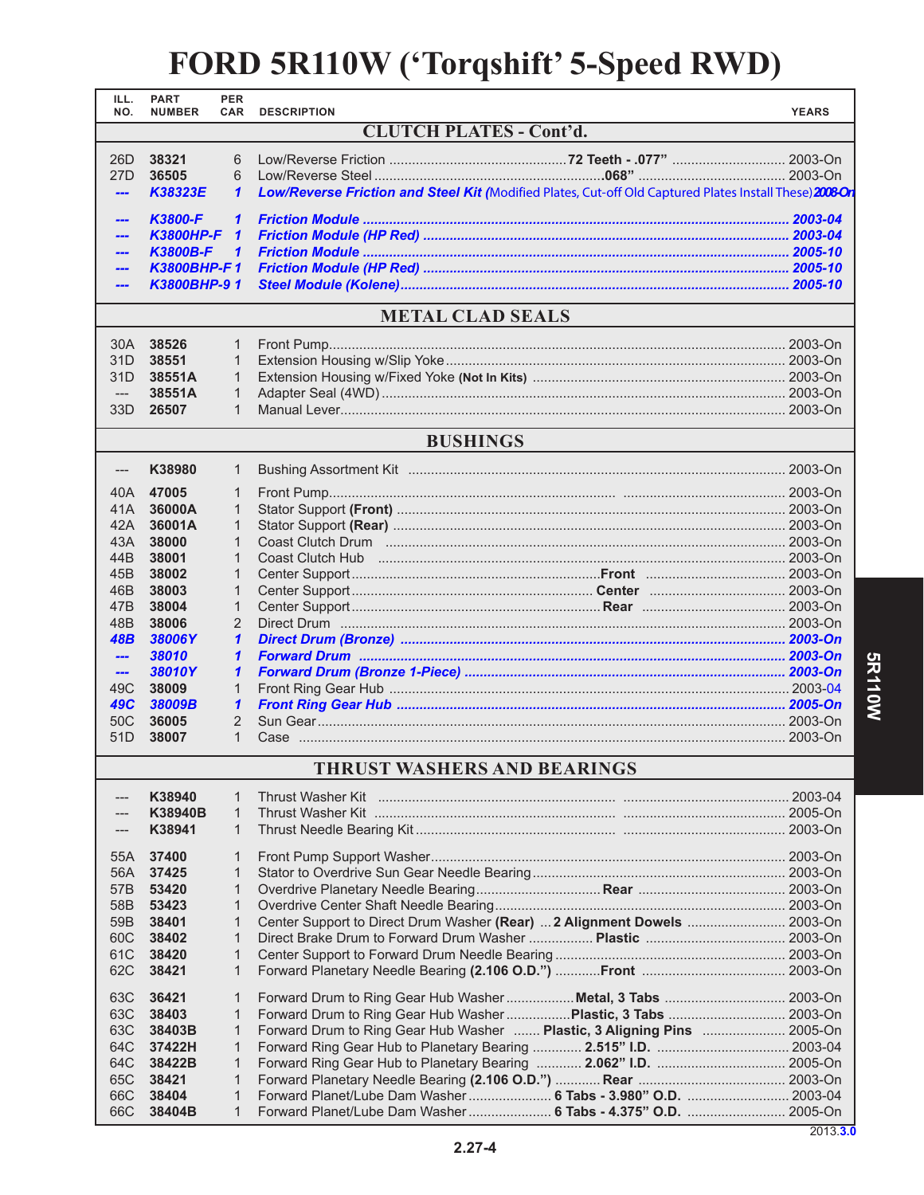#### **FORD 5R110W ('Torqshift' 5-Speed RWD)**

| ILL.<br>NO.                        | <b>PART</b><br><b>NUMBER</b>   | <b>PER</b><br><b>CAR</b>       | <b>DESCRIPTION</b>                                                                                      | <b>YEARS</b> |  |  |  |
|------------------------------------|--------------------------------|--------------------------------|---------------------------------------------------------------------------------------------------------|--------------|--|--|--|
|                                    | <b>CLUTCH PLATES - Cont'd.</b> |                                |                                                                                                         |              |  |  |  |
| 26D                                | 38321<br>6                     |                                |                                                                                                         |              |  |  |  |
| 27 <sub>D</sub>                    | 36505                          | 6                              |                                                                                                         |              |  |  |  |
| ---                                | K38323E                        | 1                              | Low/Reverse Friction and Steel Kit (Modified Plates, Cut-off Old Captured Plates Install These) 2008 Or |              |  |  |  |
| ---                                | <b>K3800-F</b>                 | $\mathbf{1}$                   |                                                                                                         |              |  |  |  |
| ---                                | <b>K3800HP-F</b>               | $\mathbf{1}$                   |                                                                                                         |              |  |  |  |
|                                    | <b>K3800B-F</b>                | $\mathbf{1}$                   |                                                                                                         |              |  |  |  |
|                                    | K3800BHP-F1                    |                                |                                                                                                         |              |  |  |  |
|                                    | K3800BHP-91                    |                                |                                                                                                         |              |  |  |  |
|                                    |                                |                                | <b>METAL CLAD SEALS</b>                                                                                 |              |  |  |  |
| 30A                                | 38526                          | 1                              |                                                                                                         |              |  |  |  |
| 31D                                | 38551                          | 1                              |                                                                                                         |              |  |  |  |
| 31D                                | 38551A                         | $\mathbf{1}$                   |                                                                                                         |              |  |  |  |
| $---$                              | 38551A                         | $\mathbf{1}$                   |                                                                                                         |              |  |  |  |
| 33D                                | 26507                          | $\mathbf{1}$                   |                                                                                                         |              |  |  |  |
|                                    |                                |                                | <b>BUSHINGS</b>                                                                                         |              |  |  |  |
| ---                                | K38980                         | 1                              |                                                                                                         |              |  |  |  |
| 40A                                | 47005                          | 1                              |                                                                                                         |              |  |  |  |
| 41A                                | 36000A                         | 1                              |                                                                                                         |              |  |  |  |
| 42A                                | 36001A                         | 1                              |                                                                                                         |              |  |  |  |
| 43A                                | 38000                          | $\mathbf{1}$                   |                                                                                                         |              |  |  |  |
| 44B                                | 38001                          | $\mathbf{1}$                   |                                                                                                         |              |  |  |  |
| 45B                                | 38002                          | $\mathbf{1}$                   |                                                                                                         |              |  |  |  |
| 46B                                | 38003                          | $\mathbf{1}$                   |                                                                                                         |              |  |  |  |
| 47 <sub>B</sub><br>48B             | 38004<br>38006                 | $\mathbf{1}$<br>$\overline{2}$ |                                                                                                         |              |  |  |  |
| 48B                                | 38006Y                         | 1                              |                                                                                                         |              |  |  |  |
| $\overline{1}$                     | 38010                          | 1                              |                                                                                                         |              |  |  |  |
| $\frac{1}{2}$                      | 38010Y                         | 1                              |                                                                                                         |              |  |  |  |
| 49C                                | 38009                          | 1                              |                                                                                                         |              |  |  |  |
| <b>49C</b>                         | 38009B                         | $\mathbf{1}$                   |                                                                                                         |              |  |  |  |
| 50C                                | 36005                          | $\overline{2}$                 |                                                                                                         |              |  |  |  |
| 51D                                | 38007                          | $\mathbf{1}$                   |                                                                                                         |              |  |  |  |
| <b>THRUST WASHERS AND BEARINGS</b> |                                |                                |                                                                                                         |              |  |  |  |
| ---                                | K38940                         | $\mathbf 1$                    | <b>Thrust Washer Kit</b>                                                                                |              |  |  |  |
|                                    | K38940B                        | $\mathbf{1}$                   |                                                                                                         |              |  |  |  |
|                                    | K38941                         | $\mathbf{1}$                   |                                                                                                         |              |  |  |  |
| 55A                                | 37400                          | $\mathbf{1}$                   |                                                                                                         |              |  |  |  |
| 56A                                | 37425                          | $\mathbf{1}$                   |                                                                                                         |              |  |  |  |
| 57B                                | 53420                          | 1                              |                                                                                                         |              |  |  |  |
| 58B                                | 53423                          | $\mathbf{1}$                   |                                                                                                         |              |  |  |  |
| 59B                                | 38401                          | 1                              | Center Support to Direct Drum Washer (Rear)  2 Alignment Dowels  2003-On                                |              |  |  |  |
| 60C<br>61C                         | 38402<br>38420                 | $\mathbf{1}$<br>$\mathbf{1}$   |                                                                                                         |              |  |  |  |
| 62C                                | 38421                          | $\mathbf{1}$                   |                                                                                                         |              |  |  |  |
| 63C                                | 36421                          | $\mathbf{1}$                   | Forward Drum to Ring Gear Hub Washer  Metal, 3 Tabs  2003-On                                            |              |  |  |  |
| 63C                                | 38403                          | $\mathbf{1}$                   | Forward Drum to Ring Gear Hub Washer  Plastic, 3 Tabs  2003-On                                          |              |  |  |  |
| 63C                                | 38403B                         | $\mathbf{1}$                   | Forward Drum to Ring Gear Hub Washer  Plastic, 3 Aligning Pins  2005-On                                 |              |  |  |  |
| 64C                                | 37422H                         | $\mathbf{1}$                   |                                                                                                         |              |  |  |  |
| 64C                                | 38422B                         | $\mathbf{1}$                   | Forward Ring Gear Hub to Planetary Bearing  2.062" I.D.  2005-On                                        |              |  |  |  |
| 65C                                | 38421                          | 1                              |                                                                                                         |              |  |  |  |
| 66C                                | 38404                          | 1                              | Forward Planet/Lube Dam Washer  6 Tabs - 3.980" O.D.  2003-04                                           |              |  |  |  |
| 66C                                | 38404B                         | 1                              | Forward Planet/Lube Dam Washer  6 Tabs - 4.375" O.D.  2005-On                                           |              |  |  |  |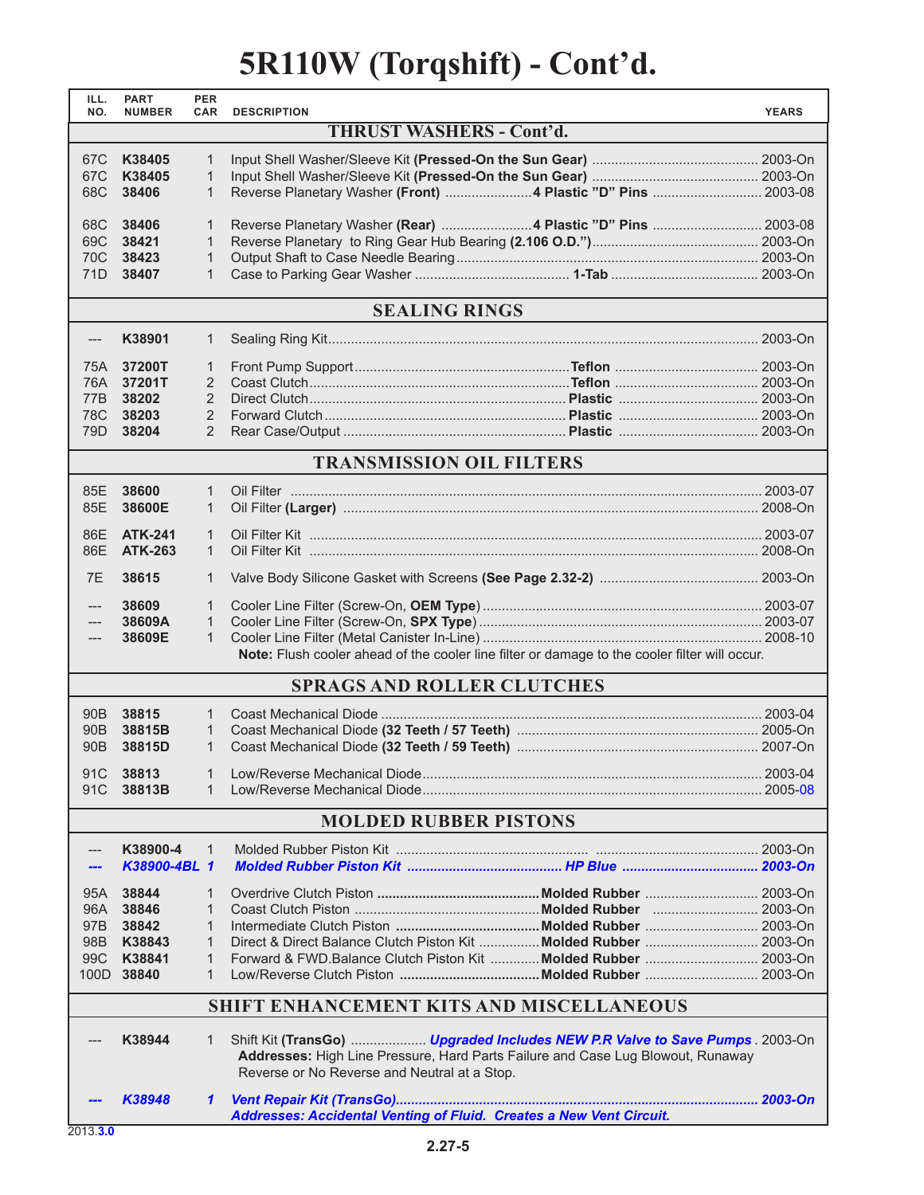## **5R110W (Torqshift) - Cont'd.**

| ILL.<br>NO.                  | <b>PART</b><br><b>NUMBER</b>             | <b>PER</b><br><b>CAR</b> | <b>DESCRIPTION</b>                                                                                                                                                                                              | <b>YEARS</b> |  |
|------------------------------|------------------------------------------|--------------------------|-----------------------------------------------------------------------------------------------------------------------------------------------------------------------------------------------------------------|--------------|--|
|                              | <b>THRUST WASHERS - Cont'd.</b>          |                          |                                                                                                                                                                                                                 |              |  |
| 67C                          | K38405                                   | $\mathbf{1}$             |                                                                                                                                                                                                                 |              |  |
| 67C                          | K38405                                   | $\mathbf{1}$             |                                                                                                                                                                                                                 |              |  |
| 68C                          | 38406                                    | $\mathbf 1$              | Reverse Planetary Washer (Front) 4 Plastic "D" Pins  2003-08                                                                                                                                                    |              |  |
| 68C                          |                                          |                          |                                                                                                                                                                                                                 |              |  |
| 69C                          | 38406<br>38421                           | $\mathbf{1}$<br>1        | Reverse Planetary Washer (Rear) 4 Plastic "D" Pins  2003-08                                                                                                                                                     |              |  |
| 70C                          | 38423                                    | $\mathbf{1}$             |                                                                                                                                                                                                                 |              |  |
| 71D                          | 38407                                    | $\mathbf 1$              |                                                                                                                                                                                                                 |              |  |
|                              |                                          |                          | <b>SEALING RINGS</b>                                                                                                                                                                                            |              |  |
|                              |                                          |                          |                                                                                                                                                                                                                 |              |  |
| ---                          | K38901                                   | $\mathbf{1}$             |                                                                                                                                                                                                                 |              |  |
| 75A                          | 37200T                                   | $\mathbf{1}$             |                                                                                                                                                                                                                 |              |  |
| 76A l                        | 37201T                                   | $\overline{2}$           |                                                                                                                                                                                                                 |              |  |
| 77B                          | 38202                                    | $\overline{2}$           |                                                                                                                                                                                                                 |              |  |
| 78C<br>79 <sub>D</sub>       | 38203                                    | 2<br>2                   |                                                                                                                                                                                                                 |              |  |
|                              | 38204                                    |                          |                                                                                                                                                                                                                 |              |  |
|                              |                                          |                          | <b>TRANSMISSION OIL FILTERS</b>                                                                                                                                                                                 |              |  |
| 85E                          | 38600                                    | $\mathbf{1}$             |                                                                                                                                                                                                                 |              |  |
| 85E                          | 38600E                                   | $\mathbf{1}$             |                                                                                                                                                                                                                 |              |  |
| 86E                          | <b>ATK-241</b>                           | $\mathbf{1}$             |                                                                                                                                                                                                                 |              |  |
| 86E                          | <b>ATK-263</b>                           | $\mathbf{1}$             |                                                                                                                                                                                                                 |              |  |
| 7E                           | 38615                                    | 1                        |                                                                                                                                                                                                                 |              |  |
| ---                          | 38609                                    | 1                        |                                                                                                                                                                                                                 |              |  |
|                              | 38609A                                   | 1                        |                                                                                                                                                                                                                 |              |  |
| ---                          | 38609E                                   | $\mathbf{1}$             |                                                                                                                                                                                                                 |              |  |
|                              |                                          |                          | Note: Flush cooler ahead of the cooler line filter or damage to the cooler filter will occur.                                                                                                                   |              |  |
|                              |                                          |                          | <b>SPRAGS AND ROLLER CLUTCHES</b>                                                                                                                                                                               |              |  |
| 90 <sub>B</sub>              | 38815                                    | $\mathbf{1}$             |                                                                                                                                                                                                                 |              |  |
| 90 <sub>B</sub>              | 38815B                                   | $\mathbf{1}$             |                                                                                                                                                                                                                 |              |  |
| 90 <sub>B</sub>              | 38815D                                   | $\mathbf{1}$             |                                                                                                                                                                                                                 |              |  |
| 91C                          | 38813                                    | $\mathbf{1}$             |                                                                                                                                                                                                                 |              |  |
| 91C                          | 38813B                                   | $\mathbf{1}$             |                                                                                                                                                                                                                 |              |  |
| <b>MOLDED RUBBER PISTONS</b> |                                          |                          |                                                                                                                                                                                                                 |              |  |
|                              |                                          |                          |                                                                                                                                                                                                                 |              |  |
| ---                          | K38900-4                                 | $\mathbf 1$              |                                                                                                                                                                                                                 |              |  |
|                              | K38900-4BL 1                             |                          |                                                                                                                                                                                                                 |              |  |
| 95A                          | 38844                                    | 1                        |                                                                                                                                                                                                                 |              |  |
| 96A l                        | 38846                                    | $\mathbf{1}$             |                                                                                                                                                                                                                 |              |  |
| 97B                          | 38842                                    | $\mathbf{1}$             |                                                                                                                                                                                                                 |              |  |
| 98B                          | K38843                                   | $\mathbf{1}$             | Direct & Direct Balance Clutch Piston Kit  Molded Rubber  2003-On                                                                                                                                               |              |  |
| 99C                          | K38841<br>100D 38840                     | $\mathbf{1}$<br>1        | Forward & FWD.Balance Clutch Piston Kit  Molded Rubber  2003-On                                                                                                                                                 |              |  |
|                              |                                          |                          |                                                                                                                                                                                                                 |              |  |
|                              | SHIFT ENHANCEMENT KITS AND MISCELLANEOUS |                          |                                                                                                                                                                                                                 |              |  |
|                              | K38944                                   | 1                        | Shift Kit (TransGo)  Upgraded Includes NEW P.R Valve to Save Pumps . 2003-On<br>Addresses: High Line Pressure, Hard Parts Failure and Case Lug Blowout, Runaway<br>Reverse or No Reverse and Neutral at a Stop. |              |  |
|                              | K38948                                   | 1                        | Addresses: Accidental Venting of Fluid. Creates a New Vent Circuit.                                                                                                                                             |              |  |
|                              |                                          |                          |                                                                                                                                                                                                                 |              |  |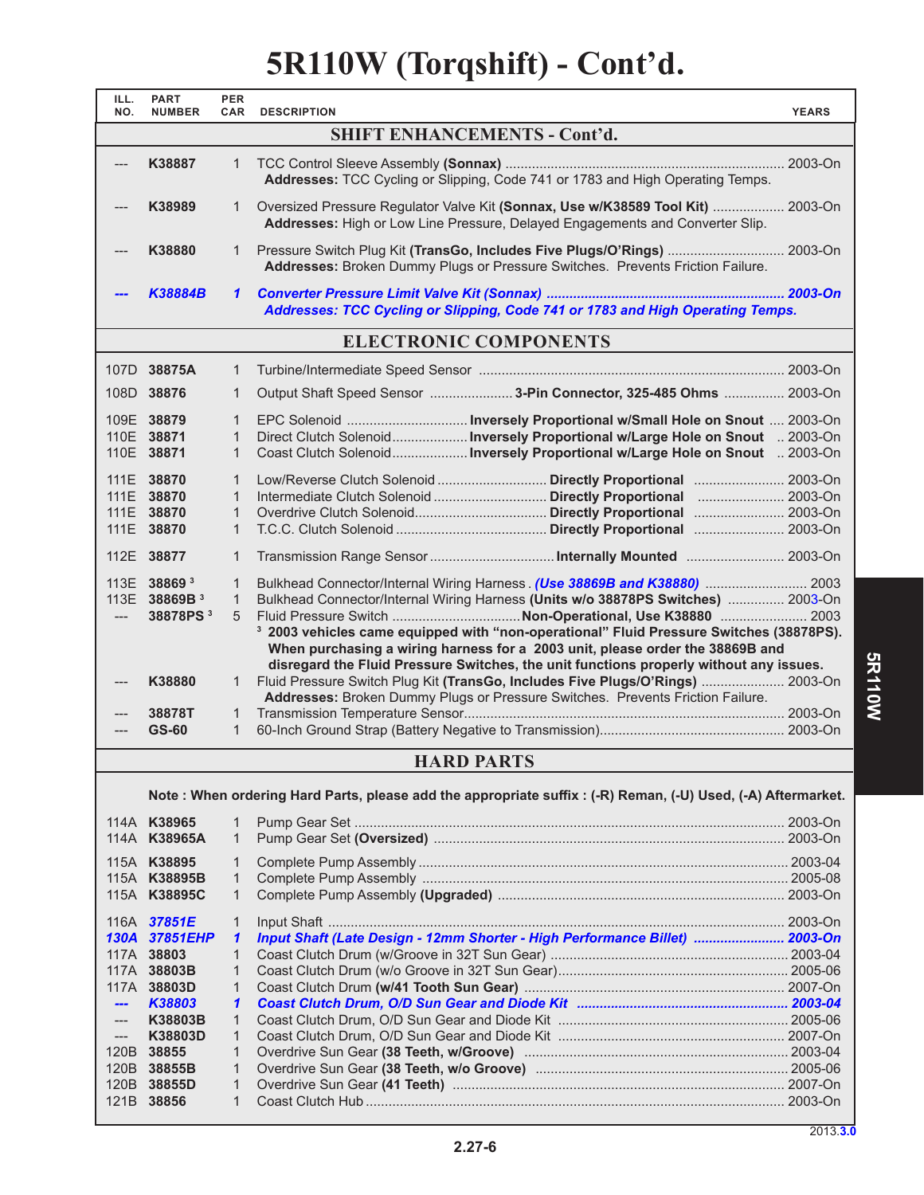### **5R110W (Torqshift) - Cont'd.**

| ILL.<br>NO.         | <b>PART</b><br><b>NUMBER</b> | <b>PER</b><br><b>CAR</b>     | <b>DESCRIPTION</b>                                                                                                                                               | <b>YEARS</b> |  |
|---------------------|------------------------------|------------------------------|------------------------------------------------------------------------------------------------------------------------------------------------------------------|--------------|--|
|                     |                              |                              | <b>SHIFT ENHANCEMENTS - Cont'd.</b>                                                                                                                              |              |  |
| ---                 | K38887                       | $\mathbf{1}$                 |                                                                                                                                                                  |              |  |
|                     |                              |                              | Addresses: TCC Cycling or Slipping, Code 741 or 1783 and High Operating Temps.                                                                                   |              |  |
|                     |                              |                              |                                                                                                                                                                  |              |  |
|                     | K38989                       | $\mathbf{1}$                 | Oversized Pressure Regulator Valve Kit (Sonnax, Use w/K38589 Tool Kit)  2003-On<br>Addresses: High or Low Line Pressure, Delayed Engagements and Converter Slip. |              |  |
|                     |                              |                              |                                                                                                                                                                  |              |  |
|                     | K38880                       | $\mathbf{1}$                 | Pressure Switch Plug Kit (TransGo, Includes Five Plugs/O'Rings)  2003-On<br>Addresses: Broken Dummy Plugs or Pressure Switches. Prevents Friction Failure.       |              |  |
|                     |                              |                              |                                                                                                                                                                  |              |  |
|                     | K38884B                      | 1                            | Addresses: TCC Cycling or Slipping, Code 741 or 1783 and High Operating Temps.                                                                                   |              |  |
|                     |                              |                              | <b>ELECTRONIC COMPONENTS</b>                                                                                                                                     |              |  |
|                     |                              |                              |                                                                                                                                                                  |              |  |
|                     | 107D 38875A                  | $\mathbf{1}$                 |                                                                                                                                                                  |              |  |
|                     | 108D 38876                   | 1                            | Output Shaft Speed Sensor  3-Pin Connector, 325-485 Ohms  2003-On                                                                                                |              |  |
|                     | 109E 38879                   | $\mathbf{1}$                 |                                                                                                                                                                  |              |  |
|                     | 110E 38871                   | $\mathbf{1}$                 |                                                                                                                                                                  |              |  |
|                     | 110E 38871                   | $\mathbf{1}$                 |                                                                                                                                                                  |              |  |
|                     | 111E 38870                   | $\mathbf{1}$                 | Low/Reverse Clutch Solenoid  Directly Proportional  2003-On                                                                                                      |              |  |
|                     | 111E 38870                   | $\mathbf{1}$                 |                                                                                                                                                                  |              |  |
|                     | 111E 38870<br>111E 38870     | $\mathbf{1}$<br>$\mathbf{1}$ |                                                                                                                                                                  |              |  |
|                     |                              |                              |                                                                                                                                                                  |              |  |
|                     | 112E 38877                   | $\mathbf{1}$                 |                                                                                                                                                                  |              |  |
|                     | 113E 38869 <sup>3</sup>      | $\mathbf{1}$                 | Bulkhead Connector/Internal Wiring Harness. (Use 38869B and K38880)  2003                                                                                        |              |  |
|                     | 113E 38869B <sup>3</sup>     | $\mathbf{1}$                 | Bulkhead Connector/Internal Wiring Harness (Units w/o 38878PS Switches)  2003-On                                                                                 |              |  |
| ---                 | 38878PS <sup>3</sup>         | 5                            | <sup>3</sup> 2003 vehicles came equipped with "non-operational" Fluid Pressure Switches (38878PS).                                                               |              |  |
|                     |                              |                              | When purchasing a wiring harness for a 2003 unit, please order the 38869B and                                                                                    |              |  |
|                     |                              |                              | disregard the Fluid Pressure Switches, the unit functions properly without any issues.                                                                           |              |  |
| ---                 | K38880                       | 1.                           | Fluid Pressure Switch Plug Kit (TransGo, Includes Five Plugs/O'Rings)  2003-On                                                                                   |              |  |
|                     |                              |                              | Addresses: Broken Dummy Plugs or Pressure Switches. Prevents Friction Failure.                                                                                   |              |  |
|                     | 38878T<br><b>GS-60</b>       | 1<br>$\mathbf{1}$            |                                                                                                                                                                  |              |  |
|                     |                              |                              |                                                                                                                                                                  |              |  |
|                     |                              |                              | <b>HARD PARTS</b>                                                                                                                                                |              |  |
|                     |                              |                              | Note: When ordering Hard Parts, please add the appropriate suffix: (-R) Reman, (-U) Used, (-A) Aftermarket.                                                      |              |  |
|                     | 114A K38965                  |                              |                                                                                                                                                                  |              |  |
|                     | 114A K38965A                 | 1<br>$\mathbf{1}$            |                                                                                                                                                                  |              |  |
|                     |                              |                              |                                                                                                                                                                  |              |  |
|                     | 115A K38895<br>115A K38895B  | $\mathbf{1}$<br>$\mathbf{1}$ |                                                                                                                                                                  |              |  |
|                     | 115A K38895C                 | $\mathbf{1}$                 |                                                                                                                                                                  |              |  |
|                     |                              |                              |                                                                                                                                                                  |              |  |
|                     | 116A 37851E<br>130A 37851EHP | 1<br>$\mathbf{1}$            | Input Shaft (Late Design - 12mm Shorter - High Performance Billet)  2003-On                                                                                      |              |  |
|                     | 117A 38803                   | $\mathbf{1}$                 |                                                                                                                                                                  |              |  |
|                     | 117A 38803B                  | 1                            |                                                                                                                                                                  |              |  |
|                     | 117A 38803D                  | $\mathbf{1}$                 |                                                                                                                                                                  |              |  |
| $\frac{1}{2}$       | K38803                       | 1                            |                                                                                                                                                                  |              |  |
| $\qquad \qquad - -$ | K38803B                      | $\mathbf{1}$                 |                                                                                                                                                                  |              |  |
| $---$               | K38803D<br>120B 38855        | $\mathbf{1}$<br>1            |                                                                                                                                                                  |              |  |
|                     | 120B 38855B                  | $\mathbf{1}$                 |                                                                                                                                                                  |              |  |
|                     | 120B 38855D                  | $\mathbf{1}$                 |                                                                                                                                                                  |              |  |
|                     | 121B 38856                   | $\mathbf{1}$                 |                                                                                                                                                                  |              |  |